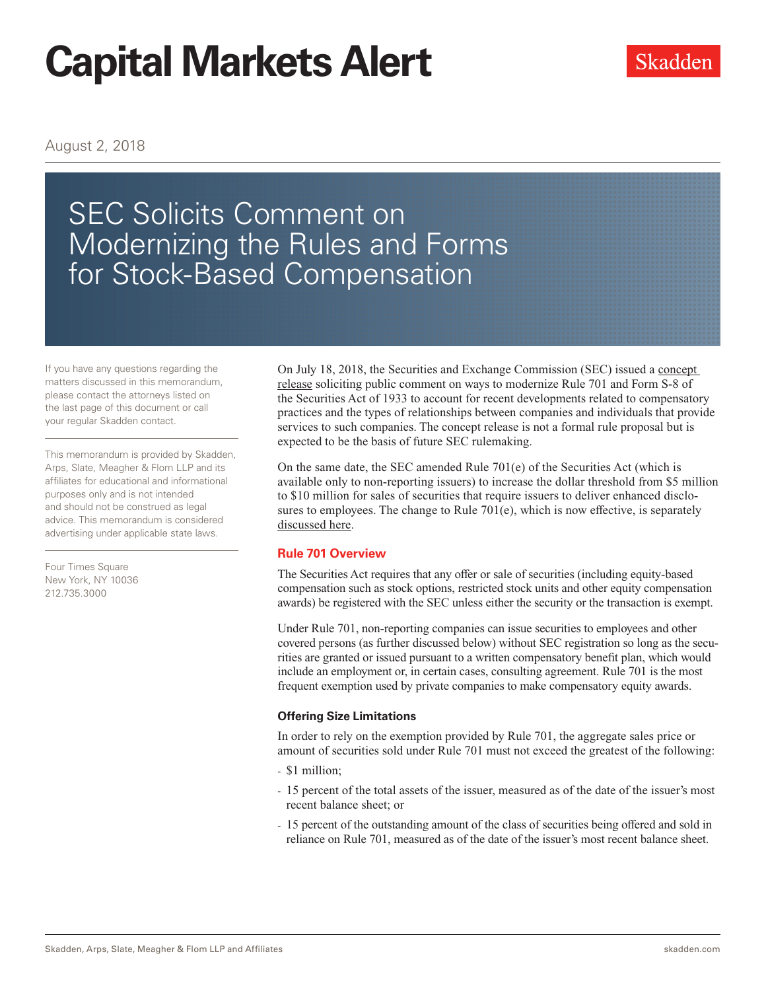August 2, 2018

# SEC Solicits Comment on Modernizing the Rules and Forms for Stock-Based Compensation

If you have any questions regarding the matters discussed in this memorandum, please contact the attorneys listed on the last page of this document or call your regular Skadden contact.

This memorandum is provided by Skadden, Arps, Slate, Meagher & Flom LLP and its affiliates for educational and informational purposes only and is not intended and should not be construed as legal advice. This memorandum is considered advertising under applicable state laws.

Four Times Square New York, NY 10036 212.735.3000

On July 18, 2018, the Securities and Exchange Commission (SEC) issued a [concept](https://www.sec.gov/rules/concept/2018/33-10521.pdf)  [release](https://www.sec.gov/rules/concept/2018/33-10521.pdf) soliciting public comment on ways to modernize Rule 701 and Form S-8 of the Securities Act of 1933 to account for recent developments related to compensatory practices and the types of relationships between companies and individuals that provide services to such companies. The concept release is not a formal rule proposal but is expected to be the basis of future SEC rulemaking.

On the same date, the SEC amended Rule 701(e) of the Securities Act (which is available only to non-reporting issuers) to increase the dollar threshold from \$5 million to \$10 million for sales of securities that require issuers to deliver enhanced disclosures to employees. The change to Rule 701(e), which is now effective, is separately [discussed here.](https://www.skadden.com/insights/publications/2018/07/sec-eases-disclosure-threshold-under-rule-701)

#### **Rule 701 Overview**

The Securities Act requires that any offer or sale of securities (including equity-based compensation such as stock options, restricted stock units and other equity compensation awards) be registered with the SEC unless either the security or the transaction is exempt.

Under Rule 701, non-reporting companies can issue securities to employees and other covered persons (as further discussed below) without SEC registration so long as the securities are granted or issued pursuant to a written compensatory benefit plan, which would include an employment or, in certain cases, consulting agreement. Rule 701 is the most frequent exemption used by private companies to make compensatory equity awards.

#### **Offering Size Limitations**

In order to rely on the exemption provided by Rule 701, the aggregate sales price or amount of securities sold under Rule 701 must not exceed the greatest of the following:

- \$1 million;
- 15 percent of the total assets of the issuer, measured as of the date of the issuer's most recent balance sheet; or
- 15 percent of the outstanding amount of the class of securities being offered and sold in reliance on Rule 701, measured as of the date of the issuer's most recent balance sheet.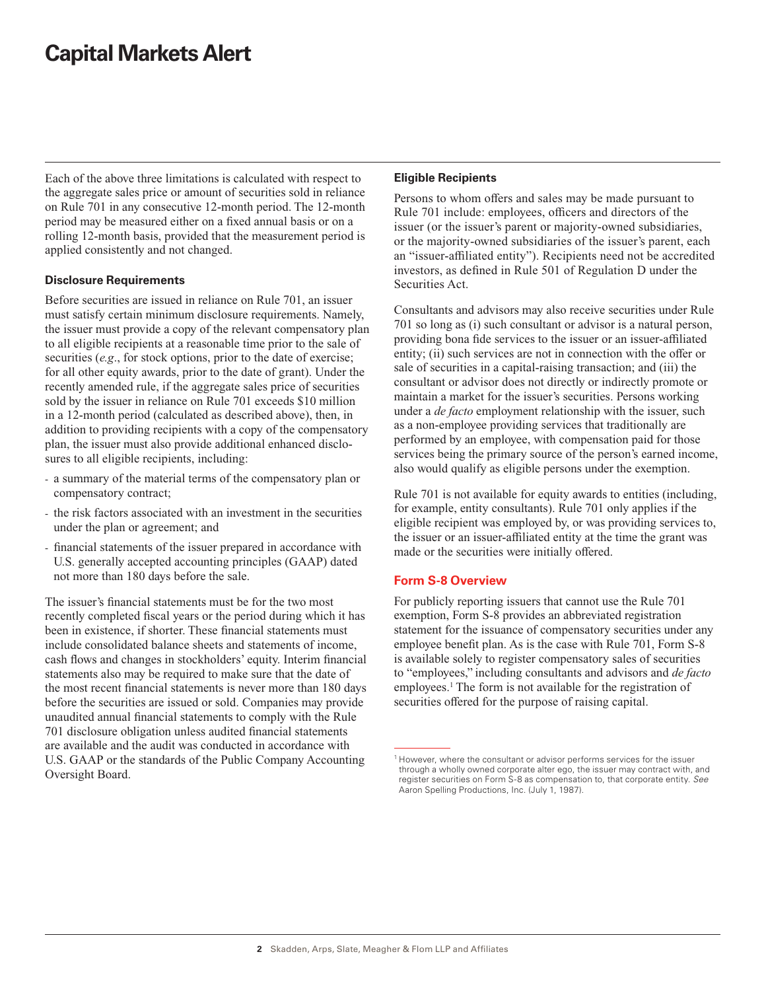Each of the above three limitations is calculated with respect to the aggregate sales price or amount of securities sold in reliance on Rule 701 in any consecutive 12-month period. The 12-month period may be measured either on a fixed annual basis or on a rolling 12-month basis, provided that the measurement period is applied consistently and not changed.

#### **Disclosure Requirements**

Before securities are issued in reliance on Rule 701, an issuer must satisfy certain minimum disclosure requirements. Namely, the issuer must provide a copy of the relevant compensatory plan to all eligible recipients at a reasonable time prior to the sale of securities (*e.g*., for stock options, prior to the date of exercise; for all other equity awards, prior to the date of grant). Under the recently amended rule, if the aggregate sales price of securities sold by the issuer in reliance on Rule 701 exceeds \$10 million in a 12-month period (calculated as described above), then, in addition to providing recipients with a copy of the compensatory plan, the issuer must also provide additional enhanced disclosures to all eligible recipients, including:

- a summary of the material terms of the compensatory plan or compensatory contract;
- the risk factors associated with an investment in the securities under the plan or agreement; and
- financial statements of the issuer prepared in accordance with U.S. generally accepted accounting principles (GAAP) dated not more than 180 days before the sale.

The issuer's financial statements must be for the two most recently completed fiscal years or the period during which it has been in existence, if shorter. These financial statements must include consolidated balance sheets and statements of income, cash flows and changes in stockholders' equity. Interim financial statements also may be required to make sure that the date of the most recent financial statements is never more than 180 days before the securities are issued or sold. Companies may provide unaudited annual financial statements to comply with the Rule 701 disclosure obligation unless audited financial statements are available and the audit was conducted in accordance with U.S. GAAP or the standards of the Public Company Accounting Oversight Board.

#### **Eligible Recipients**

Persons to whom offers and sales may be made pursuant to Rule 701 include: employees, officers and directors of the issuer (or the issuer's parent or majority-owned subsidiaries, or the majority-owned subsidiaries of the issuer's parent, each an "issuer-affiliated entity"). Recipients need not be accredited investors, as defined in Rule 501 of Regulation D under the Securities Act.

Consultants and advisors may also receive securities under Rule 701 so long as (i) such consultant or advisor is a natural person, providing bona fide services to the issuer or an issuer-affiliated entity; (ii) such services are not in connection with the offer or sale of securities in a capital-raising transaction; and (iii) the consultant or advisor does not directly or indirectly promote or maintain a market for the issuer's securities. Persons working under a *de facto* employment relationship with the issuer, such as a non-employee providing services that traditionally are performed by an employee, with compensation paid for those services being the primary source of the person's earned income, also would qualify as eligible persons under the exemption.

Rule 701 is not available for equity awards to entities (including, for example, entity consultants). Rule 701 only applies if the eligible recipient was employed by, or was providing services to, the issuer or an issuer-affiliated entity at the time the grant was made or the securities were initially offered.

#### **Form S-8 Overview**

For publicly reporting issuers that cannot use the Rule 701 exemption, Form S-8 provides an abbreviated registration statement for the issuance of compensatory securities under any employee benefit plan. As is the case with Rule 701, Form S-8 is available solely to register compensatory sales of securities to "employees," including consultants and advisors and *de facto* employees.<sup>1</sup> The form is not available for the registration of securities offered for the purpose of raising capital.

 $1$  However, where the consultant or advisor performs services for the issuer through a wholly owned corporate alter ego, the issuer may contract with, and register securities on Form S-8 as compensation to, that corporate entity. *See* Aaron Spelling Productions, Inc. (July 1, 1987).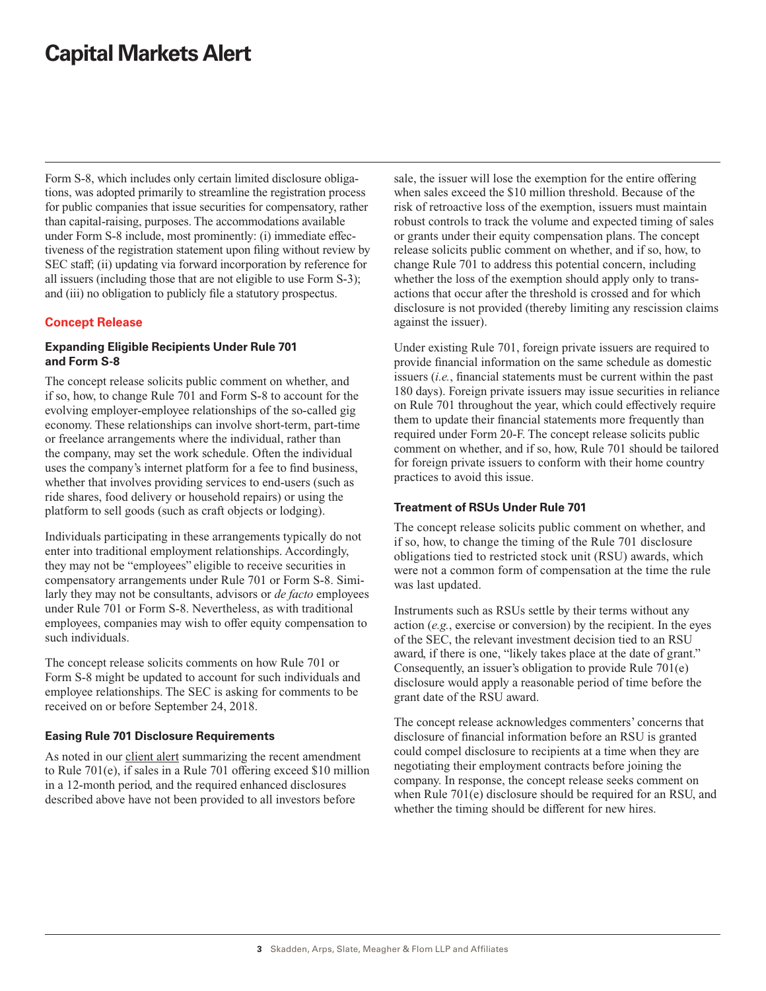Form S-8, which includes only certain limited disclosure obligations, was adopted primarily to streamline the registration process for public companies that issue securities for compensatory, rather than capital-raising, purposes. The accommodations available under Form S-8 include, most prominently: (i) immediate effectiveness of the registration statement upon filing without review by SEC staff; (ii) updating via forward incorporation by reference for all issuers (including those that are not eligible to use Form S-3); and (iii) no obligation to publicly file a statutory prospectus.

#### **Concept Release**

#### **Expanding Eligible Recipients Under Rule 701 and Form S-8**

The concept release solicits public comment on whether, and if so, how, to change Rule 701 and Form S-8 to account for the evolving employer-employee relationships of the so-called gig economy. These relationships can involve short-term, part-time or freelance arrangements where the individual, rather than the company, may set the work schedule. Often the individual uses the company's internet platform for a fee to find business, whether that involves providing services to end-users (such as ride shares, food delivery or household repairs) or using the platform to sell goods (such as craft objects or lodging).

Individuals participating in these arrangements typically do not enter into traditional employment relationships. Accordingly, they may not be "employees" eligible to receive securities in compensatory arrangements under Rule 701 or Form S-8. Similarly they may not be consultants, advisors or *de facto* employees under Rule 701 or Form S-8. Nevertheless, as with traditional employees, companies may wish to offer equity compensation to such individuals.

The concept release solicits comments on how Rule 701 or Form S-8 might be updated to account for such individuals and employee relationships. The SEC is asking for comments to be received on or before September 24, 2018.

#### **Easing Rule 701 Disclosure Requirements**

As noted in our [client alert](https://www.skadden.com/insights/publications/2018/07/sec-eases-disclosure-threshold-under-rule-701) summarizing the recent amendment to Rule 701(e), if sales in a Rule 701 offering exceed \$10 million in a 12-month period, and the required enhanced disclosures described above have not been provided to all investors before

sale, the issuer will lose the exemption for the entire offering when sales exceed the \$10 million threshold. Because of the risk of retroactive loss of the exemption, issuers must maintain robust controls to track the volume and expected timing of sales or grants under their equity compensation plans. The concept release solicits public comment on whether, and if so, how, to change Rule 701 to address this potential concern, including whether the loss of the exemption should apply only to transactions that occur after the threshold is crossed and for which disclosure is not provided (thereby limiting any rescission claims against the issuer).

Under existing Rule 701, foreign private issuers are required to provide financial information on the same schedule as domestic issuers (*i.e.*, financial statements must be current within the past 180 days). Foreign private issuers may issue securities in reliance on Rule 701 throughout the year, which could effectively require them to update their financial statements more frequently than required under Form 20-F. The concept release solicits public comment on whether, and if so, how, Rule 701 should be tailored for foreign private issuers to conform with their home country practices to avoid this issue.

#### **Treatment of RSUs Under Rule 701**

The concept release solicits public comment on whether, and if so, how, to change the timing of the Rule 701 disclosure obligations tied to restricted stock unit (RSU) awards, which were not a common form of compensation at the time the rule was last updated.

Instruments such as RSUs settle by their terms without any action (*e.g.*, exercise or conversion) by the recipient. In the eyes of the SEC, the relevant investment decision tied to an RSU award, if there is one, "likely takes place at the date of grant." Consequently, an issuer's obligation to provide Rule 701(e) disclosure would apply a reasonable period of time before the grant date of the RSU award.

The concept release acknowledges commenters' concerns that disclosure of financial information before an RSU is granted could compel disclosure to recipients at a time when they are negotiating their employment contracts before joining the company. In response, the concept release seeks comment on when Rule 701(e) disclosure should be required for an RSU, and whether the timing should be different for new hires.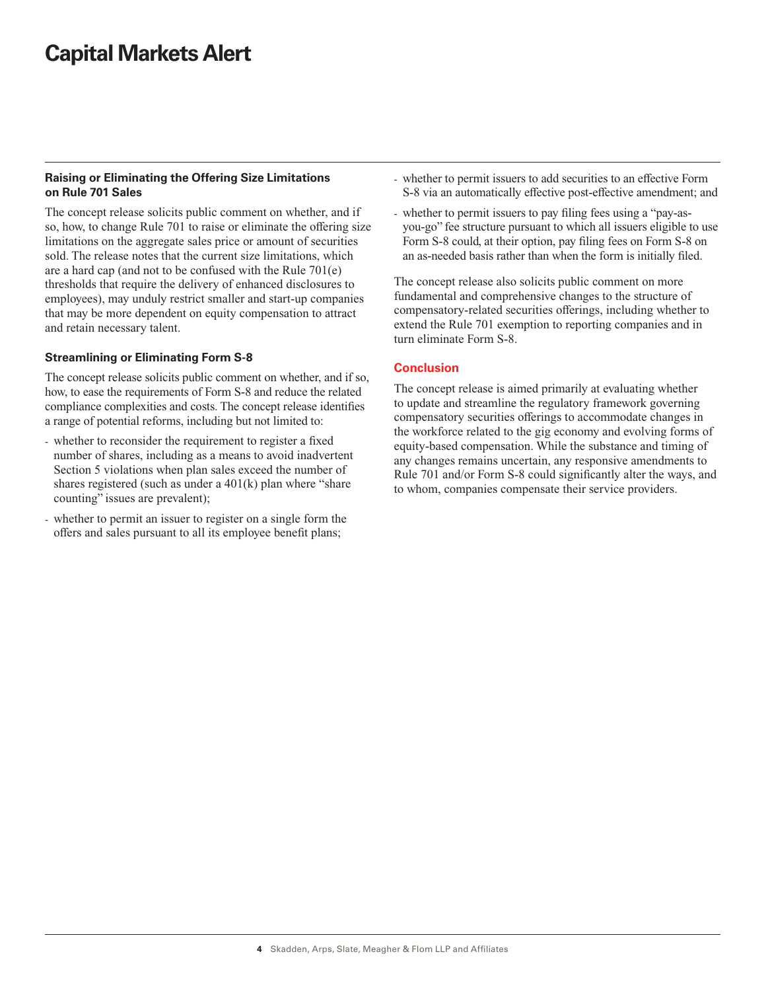#### **Raising or Eliminating the Offering Size Limitations on Rule 701 Sales**

The concept release solicits public comment on whether, and if so, how, to change Rule 701 to raise or eliminate the offering size limitations on the aggregate sales price or amount of securities sold. The release notes that the current size limitations, which are a hard cap (and not to be confused with the Rule 701(e) thresholds that require the delivery of enhanced disclosures to employees), may unduly restrict smaller and start-up companies that may be more dependent on equity compensation to attract and retain necessary talent.

#### **Streamlining or Eliminating Form S-8**

The concept release solicits public comment on whether, and if so, how, to ease the requirements of Form S-8 and reduce the related compliance complexities and costs. The concept release identifies a range of potential reforms, including but not limited to:

- whether to reconsider the requirement to register a fixed number of shares, including as a means to avoid inadvertent Section 5 violations when plan sales exceed the number of shares registered (such as under a 401(k) plan where "share counting" issues are prevalent);
- whether to permit an issuer to register on a single form the offers and sales pursuant to all its employee benefit plans;
- whether to permit issuers to add securities to an effective Form S-8 via an automatically effective post-effective amendment; and
- whether to permit issuers to pay filing fees using a "pay-asyou-go" fee structure pursuant to which all issuers eligible to use Form S-8 could, at their option, pay filing fees on Form S-8 on an as-needed basis rather than when the form is initially filed.

The concept release also solicits public comment on more fundamental and comprehensive changes to the structure of compensatory-related securities offerings, including whether to extend the Rule 701 exemption to reporting companies and in turn eliminate Form S-8.

#### **Conclusion**

The concept release is aimed primarily at evaluating whether to update and streamline the regulatory framework governing compensatory securities offerings to accommodate changes in the workforce related to the gig economy and evolving forms of equity-based compensation. While the substance and timing of any changes remains uncertain, any responsive amendments to Rule 701 and/or Form S-8 could significantly alter the ways, and to whom, companies compensate their service providers.